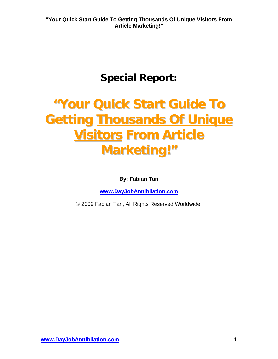## **Special Report:**

# **"Your Quick Start Guide To Getting Thousands Of Unique Yisitors From Article Marketing!"**

**By: Fabian Tan** 

**[www.DayJobAnnihilation.com](http://www.dayjobannihilation.com/)**

© 2009 Fabian Tan, All Rights Reserved Worldwide.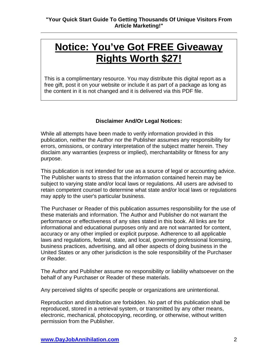## **Notice: You've Got FREE Giveaway Rights Worth \$27!**

This is a complimentary resource. You may distribute this digital report as a free gift, post it on your website or include it as part of a package as long as the content in it is not changed and it is delivered via this PDF file.

#### **Disclaimer And/Or Legal Notices:**

While all attempts have been made to verify information provided in this publication, neither the Author nor the Publisher assumes any responsibility for errors, omissions, or contrary interpretation of the subject matter herein. They disclaim any warranties (express or implied), merchantability or fitness for any purpose.

This publication is not intended for use as a source of legal or accounting advice. The Publisher wants to stress that the information contained herein may be subject to varying state and/or local laws or regulations. All users are advised to retain competent counsel to determine what state and/or local laws or regulations may apply to the user's particular business.

The Purchaser or Reader of this publication assumes responsibility for the use of these materials and information. The Author and Publisher do not warrant the performance or effectiveness of any sites stated in this book. All links are for informational and educational purposes only and are not warranted for content, accuracy or any other implied or explicit purpose. Adherence to all applicable laws and regulations, federal, state, and local, governing professional licensing, business practices, advertising, and all other aspects of doing business in the United States or any other jurisdiction is the sole responsibility of the Purchaser or Reader.

The Author and Publisher assume no responsibility or liability whatsoever on the behalf of any Purchaser or Reader of these materials.

Any perceived slights of specific people or organizations are unintentional.

Reproduction and distribution are forbidden. No part of this publication shall be reproduced, stored in a retrieval system, or transmitted by any other means, electronic, mechanical, photocopying, recording, or otherwise, without written permission from the Publisher.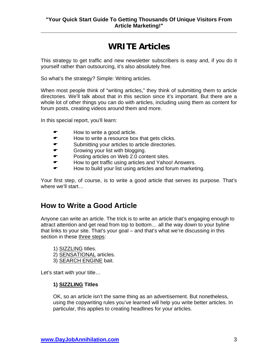## **WRITE Articles**

This strategy to get traffic and new newsletter subscribers is easy and, if you do it yourself rather than outsourcing, it's also absolutely free.

So what's the strategy? Simple: Writing articles.

When most people think of "writing articles," they think of submitting them to article directories. We'll talk about that in this section since it's important. But there are a whole lot of other things you can do with articles, including using them as content for forum posts, creating videos around them and more.

In this special report, you'll learn:

- How to write a good article.
- $\bullet$  How to write a resource box that gets clicks.
- $\bullet$  Submitting your articles to article directories.
- $\bullet$  Growing your list with blogging.
- $\bullet$  Posting articles on Web 2.0 content sites.
- $\bullet$  How to get traffic using articles and Yahoo! Answers.
- $\bullet$  How to build your list using articles and forum marketing.

Your first step, of course, is to write a good article that serves its purpose. That's where we'll start…

## **How to Write a Good Article**

Anyone can write an article. The trick is to write an article that's engaging enough to attract attention and get read from top to bottom… all the way down to your byline that links to your site. That's your goal – and that's what we're discussing in this section in these three steps:

- 1) SIZZLING titles.
- 2) SENSATIONAL articles.
- 3) SEARCH ENGINE bait.

Let's start with your title…

#### **1) SIZZLING Titles**

OK, so an article isn't the same thing as an advertisement. But nonetheless, using the copywriting rules you've learned will help you write better articles. In particular, this applies to creating headlines for your articles.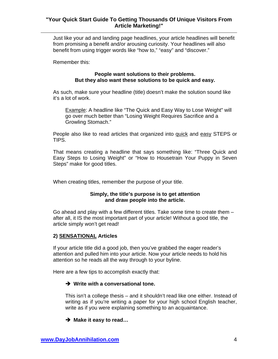Just like your ad and landing page headlines, your article headlines will benefit from promising a benefit and/or arousing curiosity. Your headlines will also benefit from using trigger words like "how to," "easy" and "discover."

Remember this:

#### **People want solutions to their problems. But they also want these solutions to be quick and easy.**

As such, make sure your headline (title) doesn't make the solution sound like it's a lot of work.

Example: A headline like "The Quick and Easy Way to Lose Weight" will go over much better than "Losing Weight Requires Sacrifice and a Growling Stomach."

People also like to read articles that organized into quick and easy STEPS or TIPS.

That means creating a headline that says something like: "Three Quick and Easy Steps to Losing Weight" or "How to Housetrain Your Puppy in Seven Steps" make for good titles.

When creating titles, remember the purpose of your title.

#### **Simply, the title's purpose is to get attention and draw people into the article.**

Go ahead and play with a few different titles. Take some time to create them – after all, it IS the most important part of your article! Without a good title, the article simply won't get read!

#### **2) SENSATIONAL Articles**

If your article title did a good job, then you've grabbed the eager reader's attention and pulled him into your article. Now your article needs to hold his attention so he reads all the way through to your byline.

Here are a few tips to accomplish exactly that:

#### $→$  Write with a conversational tone.

This isn't a college thesis – and it shouldn't read like one either. Instead of writing as if you're writing a paper for your high school English teacher, write as if you were explaining something to an acquaintance.

#### **→ Make it easy to read...**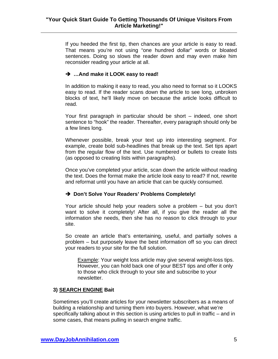If you heeded the first tip, then chances are your article is easy to read. That means you're not using "one hundred dollar" words or bloated sentences. Doing so slows the reader down and may even make him reconsider reading your article at all.

#### **→ …And make it LOOK easy to read!**

In addition to making it easy to read, you also need to format so it LOOKS easy to read. If the reader scans down the article to see long, unbroken blocks of text, he'll likely move on because the article looks difficult to read.

Your first paragraph in particular should be short – indeed, one short sentence to "hook" the reader. Thereafter, every paragraph should only be a few lines long.

Whenever possible, break your text up into interesting segment. For example, create bold sub-headlines that break up the text. Set tips apart from the regular flow of the text. Use numbered or bullets to create lists (as opposed to creating lists within paragraphs).

Once you've completed your article, scan down the article without reading the text. Does the format make the article look easy to read? If not, rewrite and reformat until you have an article that can be quickly consumed.

#### → Don't Solve Your Readers' Problems Completely!

Your article should help your readers solve a problem – but you don't want to solve it completely! After all, if you give the reader all the information she needs, then she has no reason to click through to your site.

So create an article that's entertaining, useful, and partially solves a problem – but purposely leave the best information off so you can direct your readers to your site for the full solution.

Example: Your weight loss article may give several weight-loss tips. However, you can hold back one of your BEST tips and offer it only to those who click through to your site and subscribe to your newsletter.

#### **3) SEARCH ENGINE Bait**

Sometimes you'll create articles for your newsletter subscribers as a means of building a relationship and turning them into buyers. However, what we're specifically talking about in this section is using articles to pull in traffic – and in some cases, that means pulling in search engine traffic.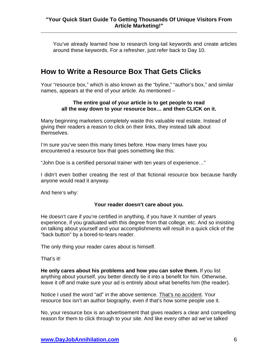You've already learned how to research long-tail keywords and create articles around these keywords. For a refresher, just refer back to Day 10.

## **How to Write a Resource Box That Gets Clicks**

Your "resource box," which is also known as the "byline," "author's box," and similar names, appears at the end of your article. As mentioned –

#### **The entire goal of your article is to get people to read all the way down to your resource box… and then CLICK on it.**

Many beginning marketers completely waste this valuable real estate. Instead of giving their readers a reason to click on their links, they instead talk about themselves.

I'm sure you've seen this many times before. How many times have you encountered a resource box that goes something like this:

"John Doe is a certified personal trainer with ten years of experience…"

I didn't even bother creating the rest of that fictional resource box because hardly anyone would read it anyway.

And here's why:

#### **Your reader doesn't care about you.**

He doesn't care if you're certified in anything, if you have X number of years experience, if you graduated with this degree from that college, etc. And so insisting on talking about yourself and your accomplishments will result in a quick click of the "back button" by a bored-to-tears reader.

The only thing your reader cares about is himself.

That's it!

**He only cares about his problems and how you can solve them.** If you list anything about yourself, you better directly tie it into a benefit for him. Otherwise, leave it off and make sure your ad is entirely about what benefits him (the reader).

Notice I used the word "ad" in the above sentence. That's no accident. Your resource box isn't an author biography, even if that's how some people use it.

No, your resource box is an advertisement that gives readers a clear and compelling reason for them to click through to your site. And like every other ad we've talked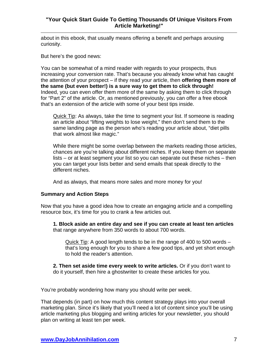about in this ebook, that usually means offering a benefit and perhaps arousing curiosity.

But here's the good news:

You can be somewhat of a mind reader with regards to your prospects, thus increasing your conversion rate. That's because you already know what has caught the attention of your prospect – if they read your article, then **offering them more of the same (but even better!) is a sure way to get them to click through!** Indeed, you can even offer them more of the same by asking them to click through for "Part 2" of the article. Or, as mentioned previously, you can offer a free ebook that's an extension of the article with some of your best tips inside.

Quick Tip: As always, take the time to segment your list. If someone is reading an article about "lifting weights to lose weight," then don't send them to the same landing page as the person who's reading your article about, "diet pills that work almost like magic."

While there might be some overlap between the markets reading those articles, chances are you're talking about different niches. If you keep them on separate lists – or at least segment your list so you can separate out these niches – then you can target your lists better and send emails that speak directly to the different niches.

And as always, that means more sales and more money for you!

#### **Summary and Action Steps**

Now that you have a good idea how to create an engaging article and a compelling resource box, it's time for you to crank a few articles out.

**1. Block aside an entire day and see if you can create at least ten articles** that range anywhere from 350 words to about 700 words.

Quick Tip: A good length tends to be in the range of 400 to 500 words – that's long enough for you to share a few good tips, and yet short enough to hold the reader's attention.

**2. Then set aside time every week to write articles.** Or if you don't want to do it yourself, then hire a ghostwriter to create these articles for you.

You're probably wondering how many you should write per week.

That depends (in part) on how much this content strategy plays into your overall marketing plan. Since it's likely that you'll need a lot of content since you'll be using article marketing plus blogging and writing articles for your newsletter, you should plan on writing at least ten per week.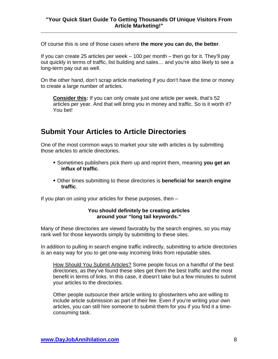Of course this is one of those cases where **the more you can do, the better**.

If you can create 25 articles per week – 100 per month – then go for it. They'll pay out quickly in terms of traffic, list building and sales… and you're also likely to see a long-term pay out as well.

On the other hand, don't scrap article marketing if you don't have the time or money to create a large number of articles.

**Consider this:** If you can only create just one article per week, that's 52 articles per year. And that will bring you in money and traffic. So is it worth it? You bet!

## **Submit Your Articles to Article Directories**

One of the most common ways to market your site with articles is by submitting those articles to article directories.

- Sometimes publishers pick them up and reprint them, meaning **you get an influx of traffic**.
- Other times submitting to these directories is **beneficial for search engine traffic**.

If you plan on using your articles for these purposes, then –

#### **You should definitely be creating articles around your "long tail keywords."**

Many of these directories are viewed favorably by the search engines, so you may rank well for those keywords simply by submitting to these sites.

In addition to pulling in search engine traffic indirectly, submitting to article directories is an easy way for you to get one-way incoming links from reputable sites.

How Should You Submit Articles? Some people focus on a handful of the best directories, as they've found these sites get them the best traffic and the most benefit in terms of links. In this case, it doesn't take but a few minutes to submit your articles to the directories.

Other people outsource their article writing to ghostwriters who are willing to include article submission as part of their fee. Even if you're writing your own articles, you can still hire someone to submit them for you if you find it a timeconsuming task.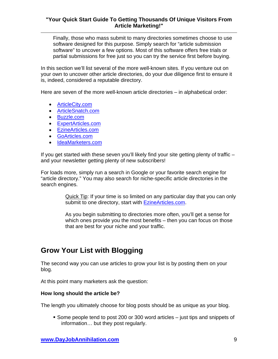Finally, those who mass submit to many directories sometimes choose to use software designed for this purpose. Simply search for "article submission software" to uncover a few options. Most of this software offers free trials or partial submissions for free just so you can try the service first before buying.

In this section we'll list several of the more well-known sites. If you venture out on your own to uncover other article directories, do your due diligence first to ensure it is, indeed, considered a reputable directory.

Here are seven of the more well-known article directories – in alphabetical order:

- [ArticleCity.com](http://www.articlecity.com/)
- [ArticleSnatch.com](http://www.articlesnatch.com/)
- [Buzzle.com](http://www.buzzle.com/)
- [ExpertArticles.com](http://www.expertarticles.com/)
- [EzineArticles.com](http://www.ezinearticles.com/)
- [GoArticles.com](http://www.goarticles.com/)
- [IdeaMarketers.com](http://www.ideamarketers.com/)

If you get started with these seven you'll likely find your site getting plenty of traffic – and your newsletter getting plenty of new subscribers!

For loads more, simply run a search in Google or your favorite search engine for "article directory." You may also search for niche-specific article directories in the search engines.

> Quick Tip: If your time is so limited on any particular day that you can only submit to one directory, start with [EzineArticles.com.](http://www.ezinearticles.com/)

As you begin submitting to directories more often, you'll get a sense for which ones provide you the most benefits – then you can focus on those that are best for your niche and your traffic.

## **Grow Your List with Blogging**

The second way you can use articles to grow your list is by posting them on your blog.

At this point many marketers ask the question:

#### **How long should the article be?**

The length you ultimately choose for blog posts should be as unique as your blog.

 Some people tend to post 200 or 300 word articles – just tips and snippets of information… but they post regularly.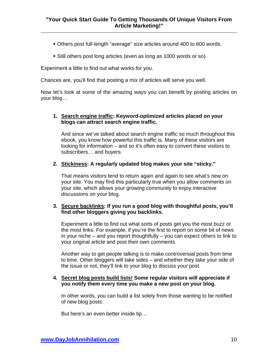- Others post full-length "average" size articles around 400 to 600 words.
- Still others post long articles (even as long as 1000 words or so).

Experiment a little to find out what works for you.

Chances are, you'll find that posting a mix of articles will serve you well.

Now let's look at some of the amazing ways you can benefit by posting articles on your blog…

#### **1. Search engine traffic: Keyword-optimized articles placed on your blogs can attract search engine traffic.**

And since we've talked about search engine traffic so much throughout this ebook, you know how powerful this traffic is. Many of these visitors are looking for information – and so it's often easy to convert these visitors to subscribers… and buyers.

#### **2. Stickiness: A regularly updated blog makes your site "sticky."**

That means visitors tend to return again and again to see what's new on your site. You may find this particularly true when you allow comments on your site, which allows your growing community to enjoy interactive discussions on your blog.

#### **3. Secure backlinks: If you run a good blog with thoughtful posts, you'll find other bloggers giving you backlinks.**

Experiment a little to find out what sorts of posts get you the most buzz or the most links. For example, if you're the first to report on some bit of news in your niche – and you report thoughtfully – you can expect others to link to your original article and post their own comments.

Another way to get people talking is to make controversial posts from time to time. Other bloggers will take sides – and whether they take your side of the issue or not, they'll link to your blog to discuss your post.

#### **4. Secret blog posts build lists! Some regular visitors will appreciate if you notify them every time you make a new post on your blog.**

In other words, you can build a list solely from those wanting to be notified of new blog posts.

But here's an even better inside tip…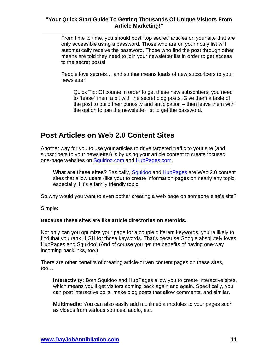From time to time, you should post "top secret" articles on your site that are only accessible using a password. Those who are on your notify list will automatically receive the password. Those who find the post through other means are told they need to join your newsletter list in order to get access to the secret posts!

People love secrets… and so that means loads of new subscribers to your newsletter!

Quick Tip: Of course in order to get these new subscribers, you need to "tease" them a bit with the secret blog posts. Give them a taste of the post to build their curiosity and anticipation – then leave them with the option to join the newsletter list to get the password.

## **Post Articles on Web 2.0 Content Sites**

Another way for you to use your articles to drive targeted traffic to your site (and subscribers to your newsletter) is by using your article content to create focused one-page websites on [Squidoo.com](http://www.squidoo.com/) and [HubPages.com.](http://www.hubpages.com/)

**What are these sites?** Basically, [Squidoo](http://www.squidoo.com/) and [HubPages](http://www.hubpages.com/) are Web 2.0 content sites that allow users (like you) to create information pages on nearly any topic, especially if it's a family friendly topic.

So why would you want to even bother creating a web page on someone else's site?

Simple:

#### **Because these sites are like article directories on steroids.**

Not only can you optimize your page for a couple different keywords, you're likely to find that you rank HIGH for those keywords. That's because Google absolutely loves HubPages and Squidoo! (And of course you get the benefits of having one-way incoming backlinks, too.)

There are other benefits of creating article-driven content pages on these sites, too…

**Interactivity:** Both Squidoo and HubPages allow you to create interactive sites, which means you'll get visitors coming back again and again. Specifically, you can post interactive polls, make blog posts that allow comments, and similar.

**Multimedia:** You can also easily add multimedia modules to your pages such as videos from various sources, audio, etc.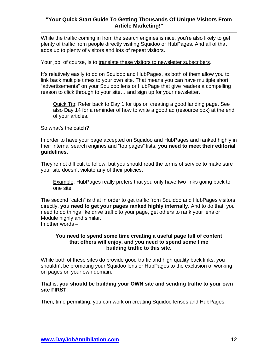While the traffic coming in from the search engines is nice, you're also likely to get plenty of traffic from people directly visiting Squidoo or HubPages. And all of that adds up to plenty of visitors and lots of repeat visitors.

Your job, of course, is to translate these visitors to newsletter subscribers.

It's relatively easily to do on Squidoo and HubPages, as both of them allow you to link back multiple times to your own site. That means you can have multiple short "advertisements" on your Squidoo lens or HubPage that give readers a compelling reason to click through to your site… and sign up for your newsletter.

Quick Tip: Refer back to Day 1 for tips on creating a good landing page. See also Day 14 for a reminder of how to write a good ad (resource box) at the end of your articles.

So what's the catch?

In order to have your page accepted on Squidoo and HubPages and ranked highly in their internal search engines and "top pages" lists, **you need to meet their editorial guidelines**.

They're not difficult to follow, but you should read the terms of service to make sure your site doesn't violate any of their policies.

Example: HubPages really prefers that you only have two links going back to one site.

The second "catch" is that in order to get traffic from Squidoo and HubPages visitors directly, **you need to get your pages ranked highly internally**. And to do that, you need to do things like drive traffic to your page, get others to rank your lens or Module highly and similar. In other words –

#### **You need to spend some time creating a useful page full of content that others will enjoy, and you need to spend some time building traffic to this site.**

While both of these sites do provide good traffic and high quality back links, you shouldn't be promoting your Squidoo lens or HubPages to the exclusion of working on pages on your own domain.

#### That is, **you should be building your OWN site and sending traffic to your own site FIRST**.

Then, time permitting; you can work on creating Squidoo lenses and HubPages.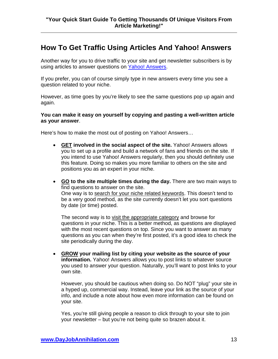## **How To Get Traffic Using Articles And Yahoo! Answers**

Another way for you to drive traffic to your site and get newsletter subscribers is by using articles to answer questions on [Yahoo! Answers](http://answers.yahoo.com/).

If you prefer, you can of course simply type in new answers every time you see a question related to your niche.

However, as time goes by you're likely to see the same questions pop up again and again.

#### **You can make it easy on yourself by copying and pasting a well-written article as your answer**.

Here's how to make the most out of posting on Yahoo! Answers…

- **GET involved in the social aspect of the site.** Yahoo! Answers allows you to set up a profile and build a network of fans and friends on the site. If you intend to use Yahoo! Answers regularly, then you should definitely use this feature. Doing so makes you more familiar to others on the site and positions you as an expert in your niche.
- **GO to the site multiple times during the day.** There are two main ways to find questions to answer on the site. One way is to search for your niche related keywords. This doesn't tend to be a very good method, as the site currently doesn't let you sort questions by date (or time) posted.

The second way is to visit the appropriate category and browse for questions in your niche. This is a better method, as questions are displayed with the most recent questions on top. Since you want to answer as many questions as you can when they're first posted, it's a good idea to check the site periodically during the day.

• **GROW your mailing list by citing your website as the source of your information.** Yahoo! Answers allows you to post links to whatever source you used to answer your question. Naturally, you'll want to post links to your own site.

However, you should be cautious when doing so. Do NOT "plug" your site in a hyped up, commercial way. Instead, leave your link as the source of your info, and include a note about how even more information can be found on your site.

Yes, you're still giving people a reason to click through to your site to join your newsletter – but you're not being quite so brazen about it.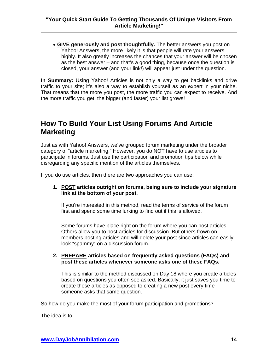• **GIVE generously and post thoughtfully.** The better answers you post on Yahoo! Answers, the more likely it is that people will rate your answers highly. It also greatly increases the chances that your answer will be chosen as the best answer – and that's a good thing, because once the question is closed, your answer (and your link!) will appear just under the question.

**In Summary:** Using Yahoo! Articles is not only a way to get backlinks and drive traffic to your site; it's also a way to establish yourself as an expert in your niche. That means that the more you post, the more traffic you can expect to receive. And the more traffic you get, the bigger (and faster) your list grows!

## **How To Build Your List Using Forums And Article Marketing**

Just as with Yahoo! Answers, we've grouped forum marketing under the broader category of "article marketing." However, you do NOT have to use articles to participate in forums. Just use the participation and promotion tips below while disregarding any specific mention of the articles themselves.

If you do use articles, then there are two approaches you can use:

#### **1. POST articles outright on forums, being sure to include your signature link at the bottom of your post.**

If you're interested in this method, read the terms of service of the forum first and spend some time lurking to find out if this is allowed.

Some forums have place right on the forum where you can post articles. Others allow you to post articles for discussion. But others frown on members posting articles and will delete your post since articles can easily look "spammy" on a discussion forum.

#### **2. PREPARE articles based on frequently asked questions (FAQs) and post these articles whenever someone asks one of these FAQs.**

This is similar to the method discussed on Day 18 where you create articles based on questions you often see asked. Basically, it just saves you time to create these articles as opposed to creating a new post every time someone asks that same question.

So how do you make the most of your forum participation and promotions?

The idea is to: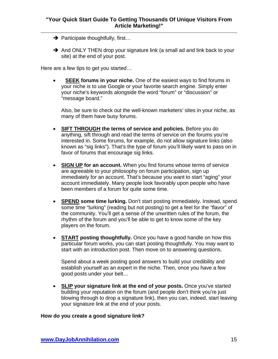- $\rightarrow$  Participate thoughtfully, first...
- $\rightarrow$  And ONLY THEN drop your signature link (a small ad and link back to your site) at the end of your post.

Here are a few tips to get you started…

**SEEK forums in your niche.** One of the easiest ways to find forums in your niche is to use Google or your favorite search engine. Simply enter your niche's keywords alongside the word "forum" or "discussion" or "message board."

Also, be sure to check out the well-known marketers' sites in your niche, as many of them have busy forums.

- **SIFT THROUGH the terms of service and policies.** Before you do anything, sift through and read the terms of service on the forums you're interested in. Some forums, for example, do not allow signature links (also known as "sig links"). That's the type of forum you'll likely want to pass on in favor of forums that encourage sig links.
- **SIGN UP for an account.** When you find forums whose terms of service are agreeable to your philosophy on forum participation, sign up immediately for an account. That's because you want to start "aging" your account immediately. Many people look favorably upon people who have been members of a forum for quite some time.
- **SPEND some time lurking.** Don't start posting immediately. Instead, spend some time "lurking" (reading but not posting) to get a feel for the "flavor" of the community. You'll get a sense of the unwritten rules of the forum, the rhythm of the forum and you'll be able to get to know some of the key players on the forum.
- **START posting thoughtfully.** Once you have a good handle on how this particular forum works, you can start posting thoughtfully. You may want to start with an introduction post. Then move on to answering questions.

Spend about a week posting good answers to build your credibility and establish yourself as an expert in the niche. Then, once you have a few good posts under your belt…

• **SLIP your signature link at the end of your posts.** Once you've started building your reputation on the forum (and people don't think you're just blowing through to drop a signature link), then you can, indeed, start leaving your signature link at the end of your posts.

#### **How do you create a good signature link?**